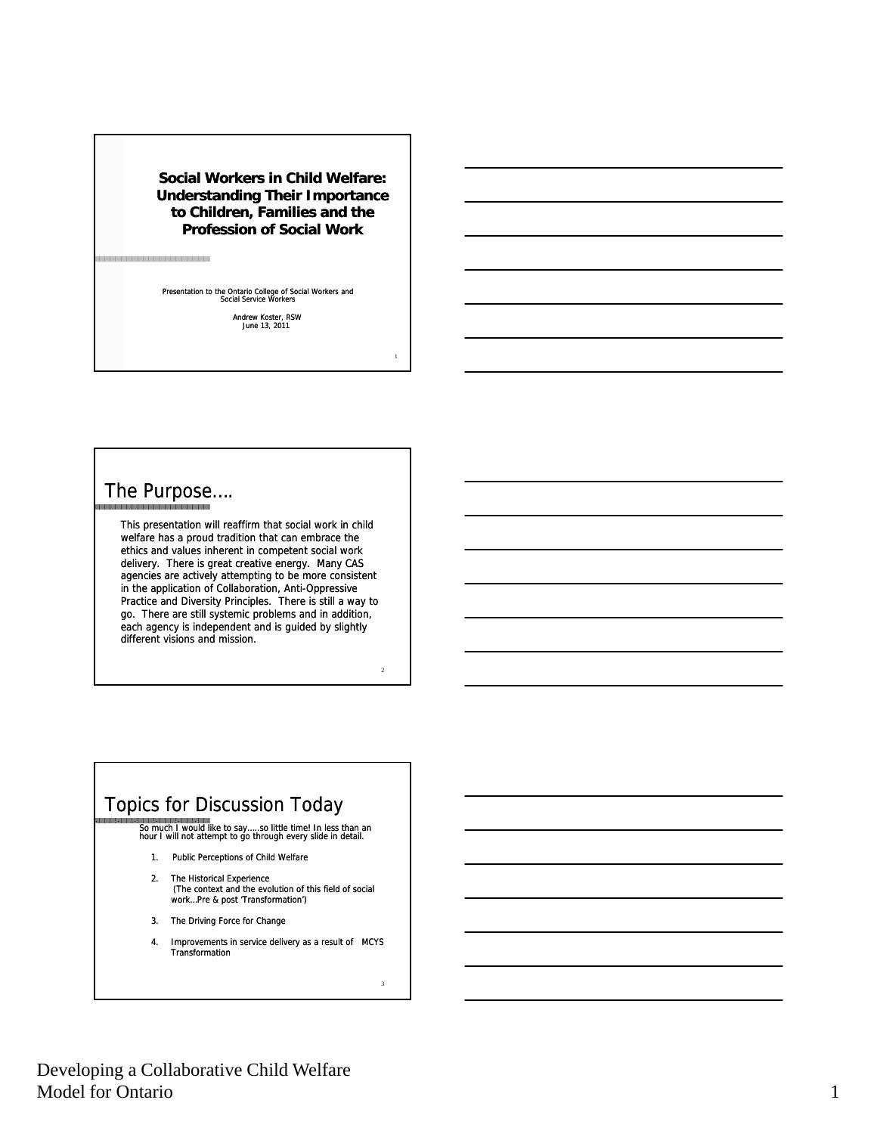#### **Social Workers in Child Welfare: Understanding Their Importance to Children, Families and the Profession of Social Work**

a je za jednost od obraz na tod od obraz na podobni od obraz na pod

Presentation to the Ontario College of Social Workers and Social Service Workers

Andrew Koster, RSW June 13, 2011

1

2

3

### The Purpose….

This presentation will reaffirm that social work in child welfare has a proud tradition that can embrace the ethics and values inherent in competent social work delivery. There is great creative energy. Many CAS agencies are actively attempting to be more consistent in the application of Collaboration, Anti-Oppressive Practice and Diversity Principles. There is still a way to go. There are still systemic problems and in addition, each agency is independent and is guided by slightly different visions and mission.

## Topics for Discussion Today

So much I would like to say…..so little time! In less than an hour I will not attempt to go through every slide in detail.

- 1. Public Perceptions of Child Welfare
- 2. The Historical Experience The Historical (The context and the evolution of this field of social work…Pre & post 'Transformation')
- 3. The Driving Force for Change
- 4. Improvements in service delivery as a result of MCYS mpresentance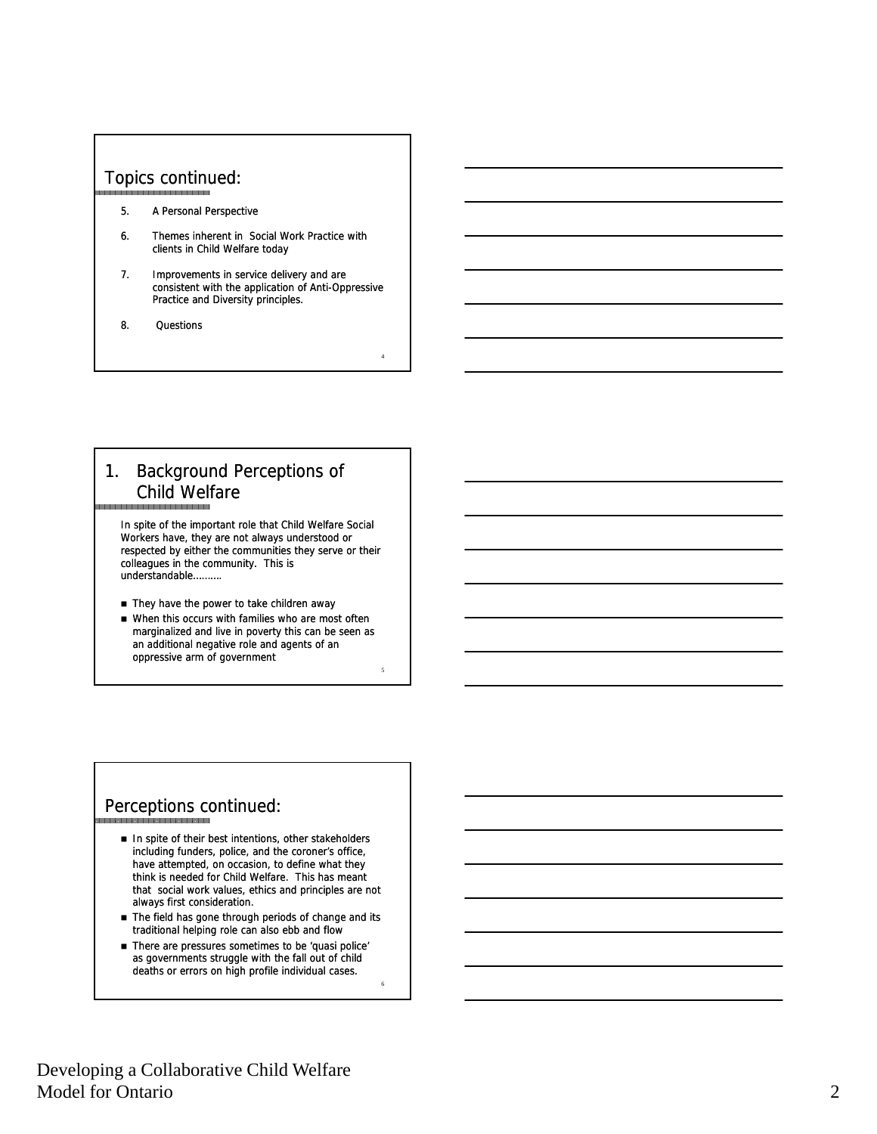#### Topics continued:

- 5. A Personal Perspective
- 6. Themes inherent in Social Work Practice with clients in Child Welfare today
- 7. Improvements in service delivery and are consistent with the application of Anti-Oppressive Practice and Diversity principles.

4

5

6

8. Questions

### 1. Background Perceptions of Child Welfare

In spite of the important role that Child Welfare Social Workers have, they are not always understood or respected by either the communities they serve or their colleagues in the community. This is understandable……….

- They have the power to take children away
- When this occurs with families who are most often marginalized and live in poverty this can be seen as an additional negative role and agents of an oppressive arm of government

## Perceptions continued:

- In spite of their best intentions, other stakeholders including funders, police, and the coroner's office, have attempted, on occasion, to define what they think is needed for Child Welfare. This has meant that social work values, ethics and principles are not always first consideration.
- The field has gone through periods of change and its traditional helping role can also ebb and flow
- There are pressures sometimes to be 'quasi police' as governments struggle with the fall out of child deaths or errors on high profile individual cases.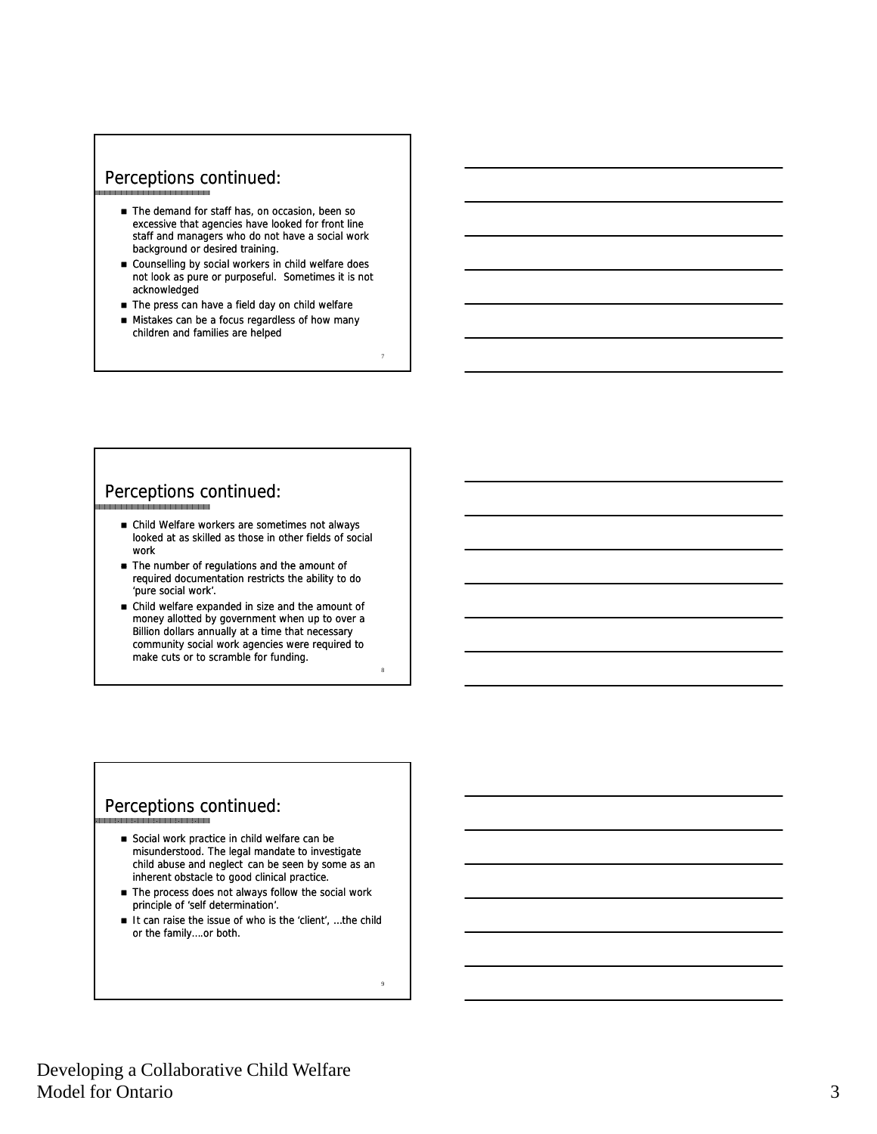#### Perceptions continued:

- The demand for staff has, on occasion, been so excessive that agencies have looked for front line staff and managers who do not have a social work background or desired training.
- Counselling by social workers in child welfare does not look as pure or purposeful. Sometimes it is not acknowledged
- The press can have a field day on child welfare
- **Mistakes can be a focus regardless of how many** children and families are helped

7

8

9

#### Perceptions continued:

- Child Welfare workers are sometimes not always looked at as skilled as those in other fields of social work
- $\blacksquare$  The number of regulations and the amount of required documentation restricts the ability to do 'pure social work'.
- Child welfare expanded in size and the amount of money allotted by government when up to over a Billion dollars annually at a time that necessary community social work agencies were required to make cuts or to scramble for funding.

# Perceptions continued:

- Social work practice in child welfare can be misunderstood. The legal mandate to investigate child abuse and neglect can be seen by some as an inherent obstacle to good clinical practice.
- The process does not always follow the social work principle of 'self determination'.
- It can raise the issue of who is the 'client', ...the child or the family….or both.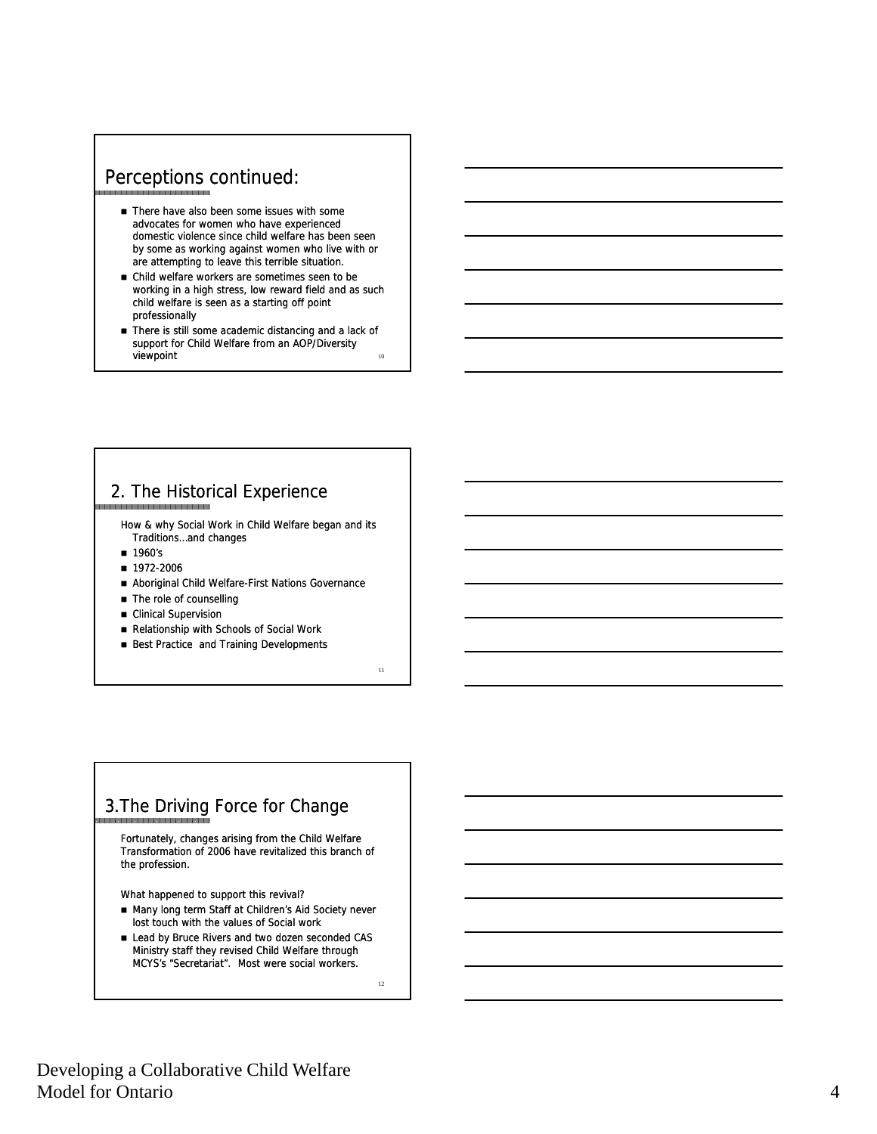## Perceptions continued:

- There have also been some issues with some advocates for women who have experienced domestic violence since child welfare has been seen by some as working against women who live with or are attempting to leave this terrible situation.
- Child welfare workers are sometimes seen to be working in a high stress, low reward field and as such child welfare is seen as a starting off point professionally
- There is still some academic distancing and a lack of support for Child Welfare from an AOP/Diversity viewpoint 10

#### 2. The Historical Experience

How & why Social Work in Child Welfare began and its Traditions…and changes

- **1960's**
- 1972-2006
- **Aboriginal Child Welfare-First Nations Governance**
- $\blacksquare$  The role of counselling
- **Clinical Supervision**
- Relationship with Schools of Social Work
- **Best Practice and Training Developments**

## 3.The Driving Force for Change

Fortunately, changes arising from the Child Welfare Transformation of 2006 have revitalized this branch of the profession.

What happened to support this revival?

- Many long term Staff at Children's Aid Society never lost touch with the values of Social work
- Lead by Bruce Rivers and two dozen seconded CAS Ministry staff they revised Child Welfare through MCYS's "Secretariat". Most were social workers.

12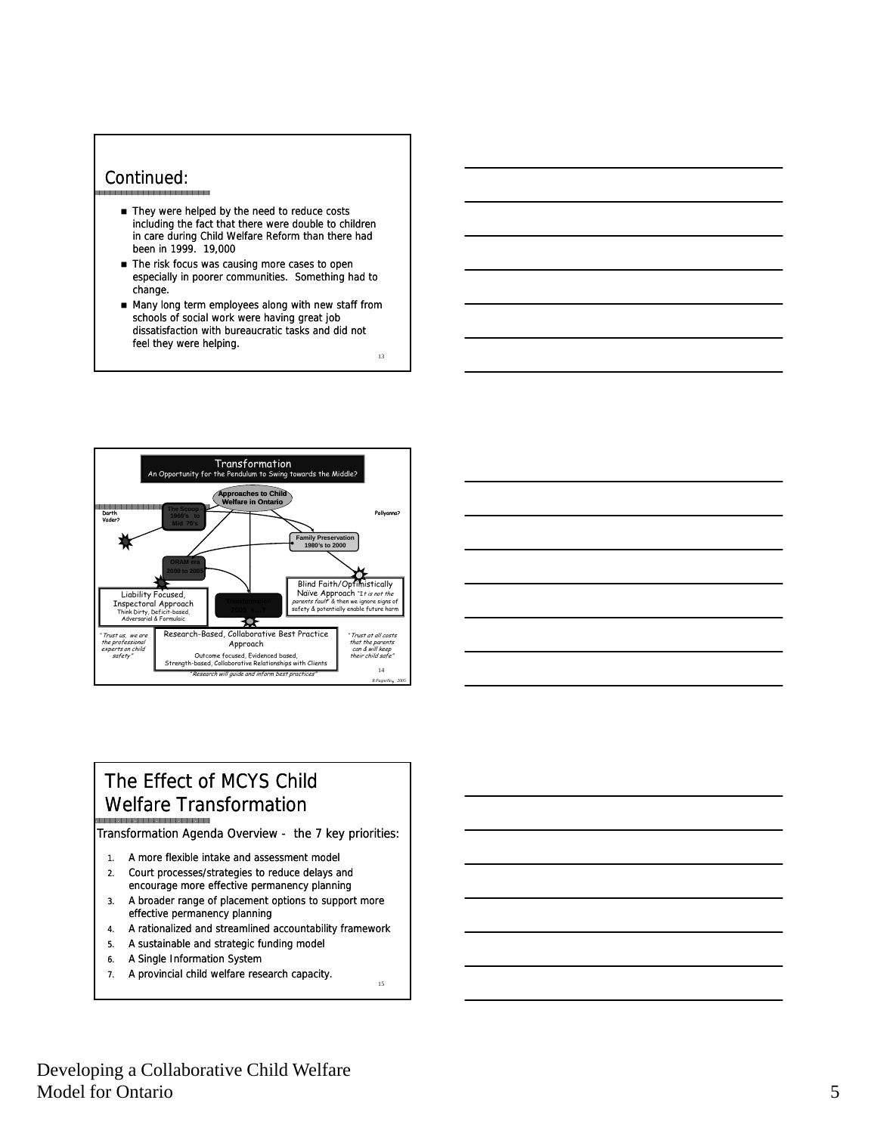#### Continued:

- They were helped by the need to reduce costs including the fact that there were double to children in care during Child Welfare Reform than there had been in 1999. 19,000
- The risk focus was causing more cases to open especially in poorer communities. Something had to change.
- Many long term employees along with new staff from schools of social work were having great job dissatisfaction with bureaucratic tasks and did not feel they were helping. 13



## The Effect of MCYS Child Welfare Transformation

Transformation Agenda Overview - the 7 key priorities:

- 1. A more flexible intake and assessment model
- 2. Court processes/strategies to reduce delays and encoura ge more effective permanency plannin g
- 3. A broader range of placement options to support more effective permanency planning
- 4. A rationalized and streamlined accountability framework

15

- 5. A sustainable and strategic funding model
- 6. A Single Information System
- 7. A provincial child welfare research capacity.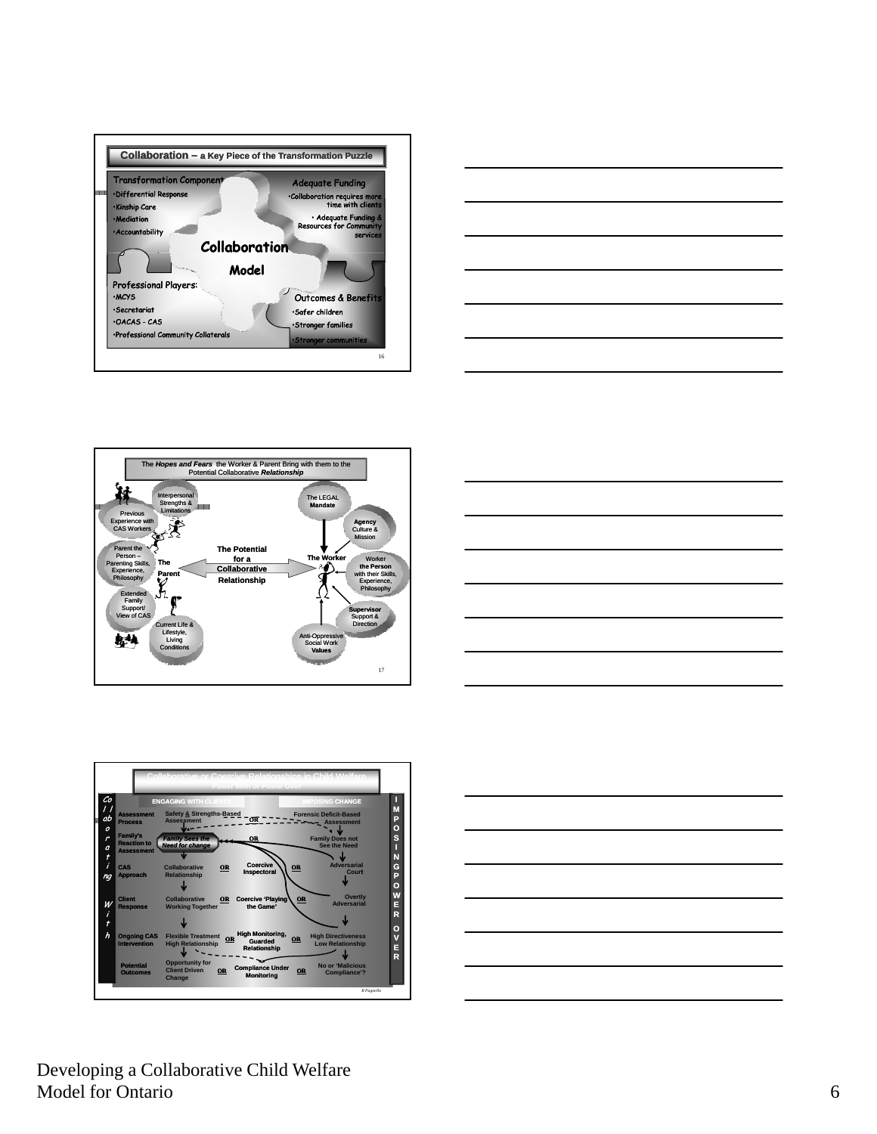









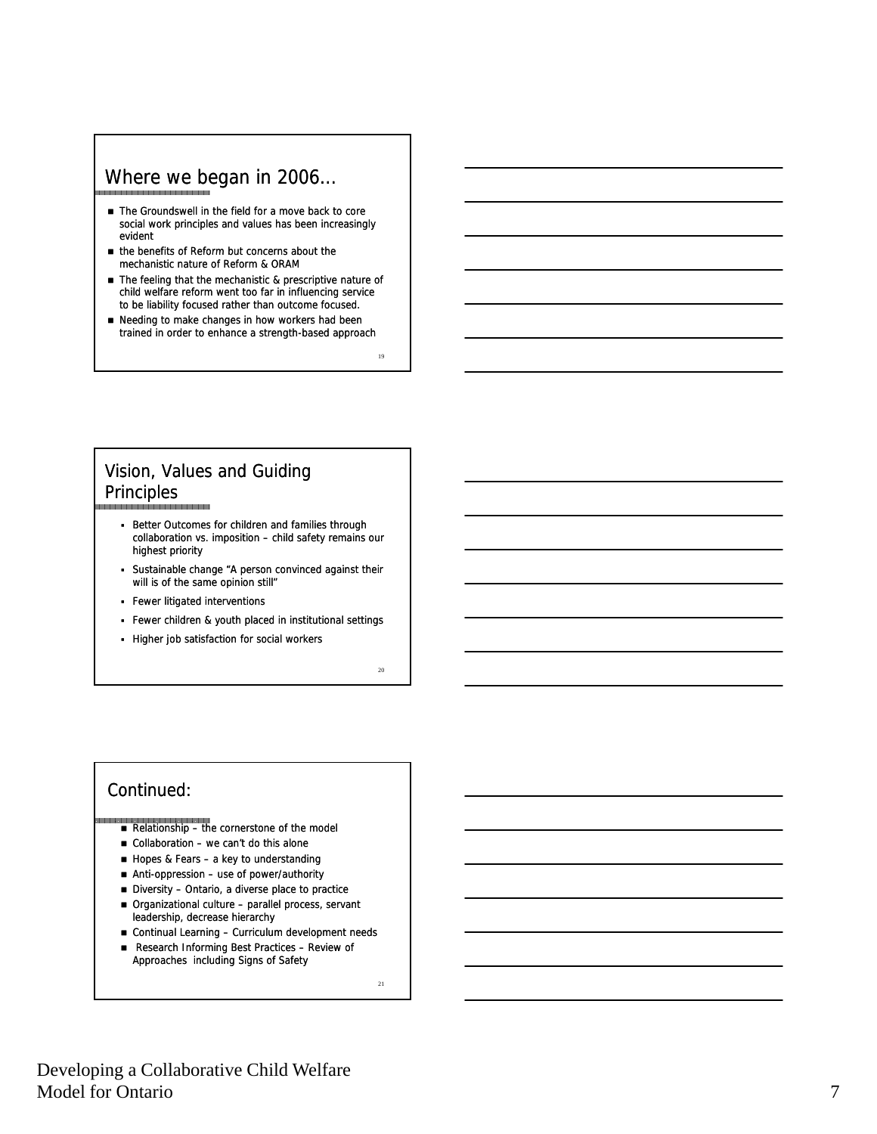## Where we began in 2006…

- The Groundswell in the field for a move back to core social work principles and values has been increasingly evident
- the benefits of Reform but concerns about the mechanistic nature of Reform & ORAM
- The feeling that the mechanistic & prescriptive nature of child welfare reform went too far in influencing service to be liability focused rather than outcome focused.
- Needing to make changes in how workers had been trained in order to enhance a strength-based approach

#### Vision, Values and Guiding Principles

- Better Outcomes for children and families through collaboration vs. imposition – child safety remains our highest priority
- Sustainable change "A person convinced against their will is of the same opinion still"
- Fewer litigated interventions
- Fewer children & youth placed in institutional settings
- Higher job satisfaction for social workers

#### Continued:

- Relationship the cornerstone of the model
- $\blacksquare$  Collaboration we can't do this alone
- Hopes & Fears a key to understanding
- $A$ nti-oppression use of power/authority
- Diversity Ontario, a diverse place to practice
- Organizational culture parallel process, servant leadership, decrease hierarchy
- Continual Learning Curriculum development needs
- Research Informing Best Practices Review of Approaches including Signs of Safety

21

19

20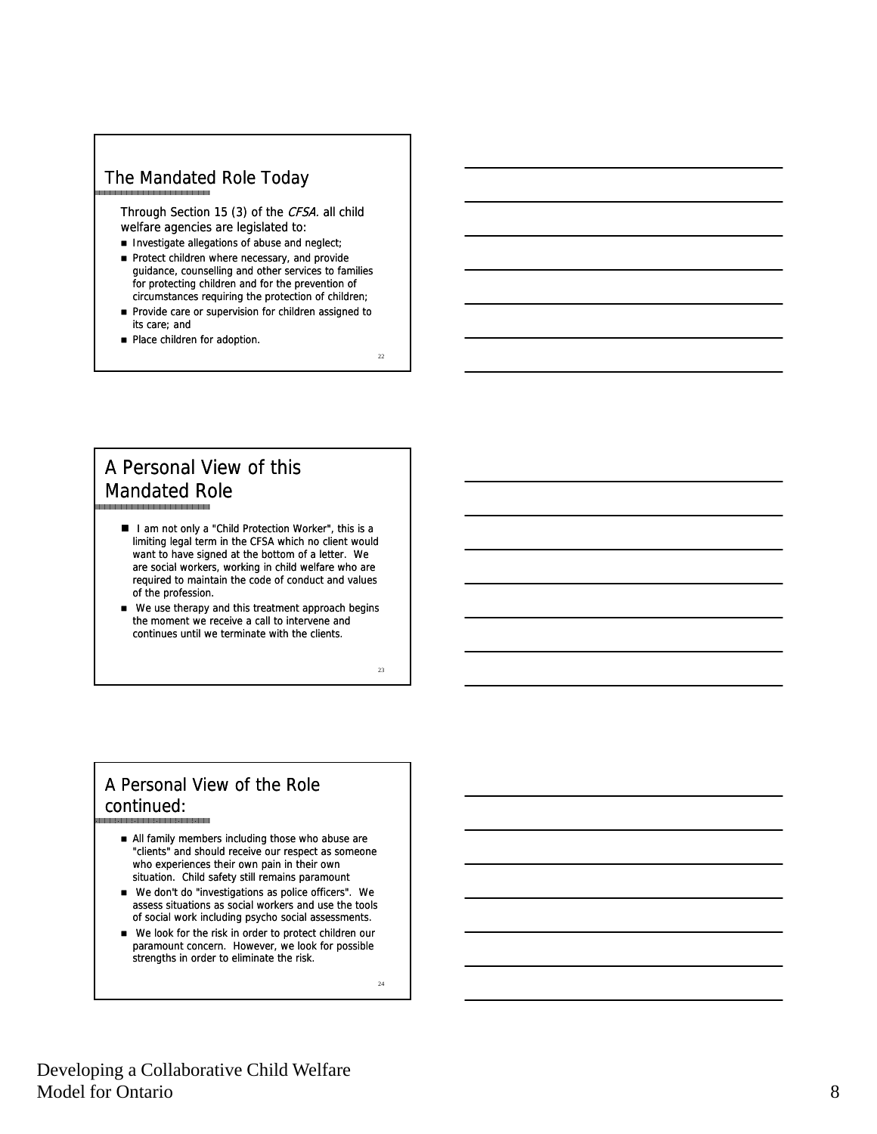#### The Mandated Role Today

Through Section 15 (3) of the CFSA. all child welfare agencies are legislated to:

- **Investigate allegations of abuse and neglect;**
- Protect children where necessary, and provide guidance, counselling and other services to families for protecting children and for the prevention of circumstances requiring the protection of children;
- **Provide care or supervision for children assigned to** its care; and
- **Place children for adoption.**

## A Personal View of this Mandated Role

- I am not only a "Child Protection Worker", this is a limiting legal term in the CFSA which no client would want to have signed at the bottom of a letter. We are social workers, working in child welfare who are required to maintain the code of conduct and values of the profession.
- We use therapy and this treatment approach begins the moment we receive a call to intervene and continues until we terminate with the clients.

23

22

### A Personal View of the Role continued:

- All family members including those who abuse are "clients" and should receive our respect as someone who experiences their own pain in their own situation. Child safety still remains paramount
- We don't do "investigations as police officers". We assess situations as social workers and use the tools of social work including psycho social assessments.
- We look for the risk in order to protect children our paramount concern. However, we look for possible strengths in order to eliminate the risk.

 $^{24}$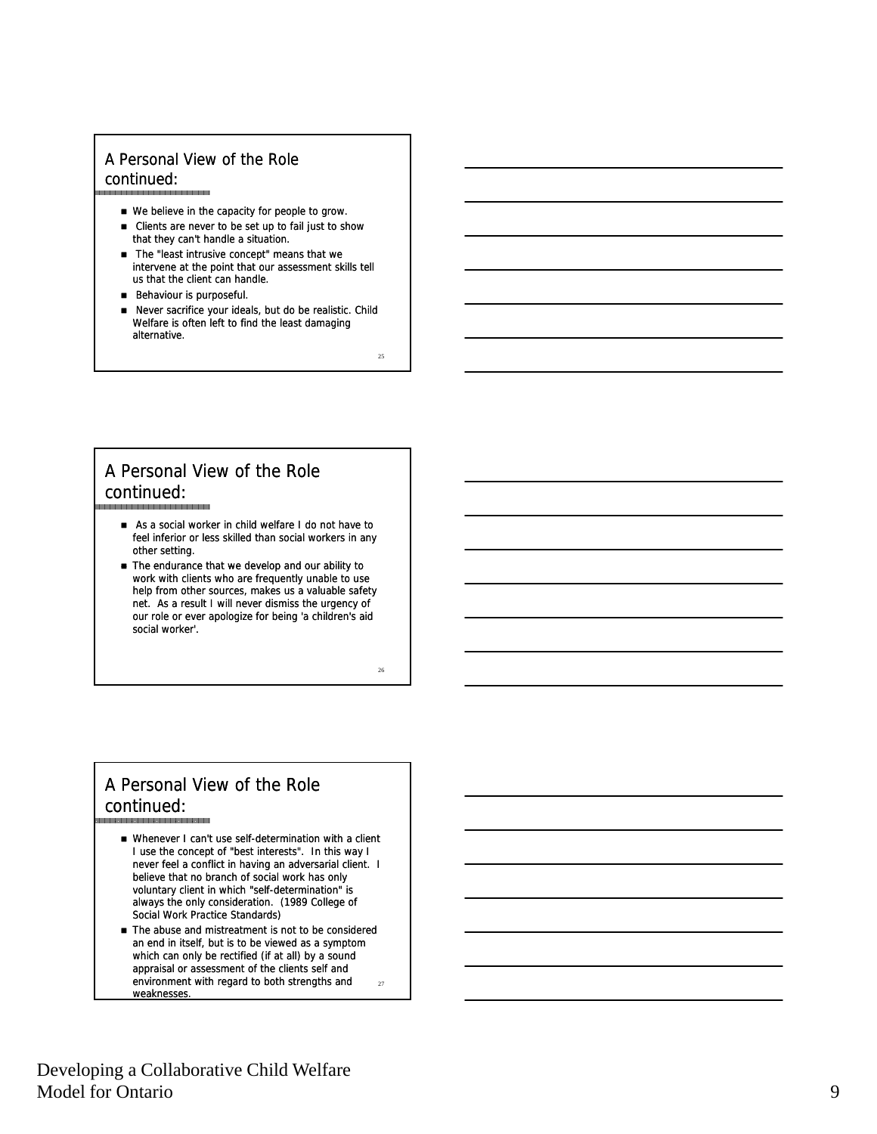#### A Personal View of the Role continued:

- We believe in the capacity for people to grow.
- Clients are never to be set up to fail just to show that they can't handle a situation.
- $\blacksquare$  The "least intrusive concept" means that we intervene at the point that our assessment skills tell us that the client can handle.
- Behaviour is purposeful.
- Never sacrifice your ideals, but do be realistic. Child Welfare is often left to find the least damaging alternative.

25

26

#### A Personal View of the Role continued:

- As a social worker in child welfare I do not have to feel inferior or less skilled than social workers in any other setting.
- $\blacksquare$  The endurance that we develop and our ability to work with clients who are frequently unable to use help from other sources, makes us a valuable safety net. As a result I will never dismiss the urgency of our role or ever apologize for being 'a children's aid social worker'.

### A Personal View of the Role continued:

- Whenever I can't use self-determination with a client I use the concept of "best interests". In this way I never feel a conflict in having an adversarial client. I believe that no branch of social work has only voluntary client in which "self-determination" is always the only consideration. (1989 College of Social Work Practice Standards)
- The abuse and mistreatment is not to be considered an end in itself, but is to be viewed as a symptom which can only be rectified (if at all) by a sound appraisal or assessment of the clients self and environment with regard to both strengths and weaknesses. 27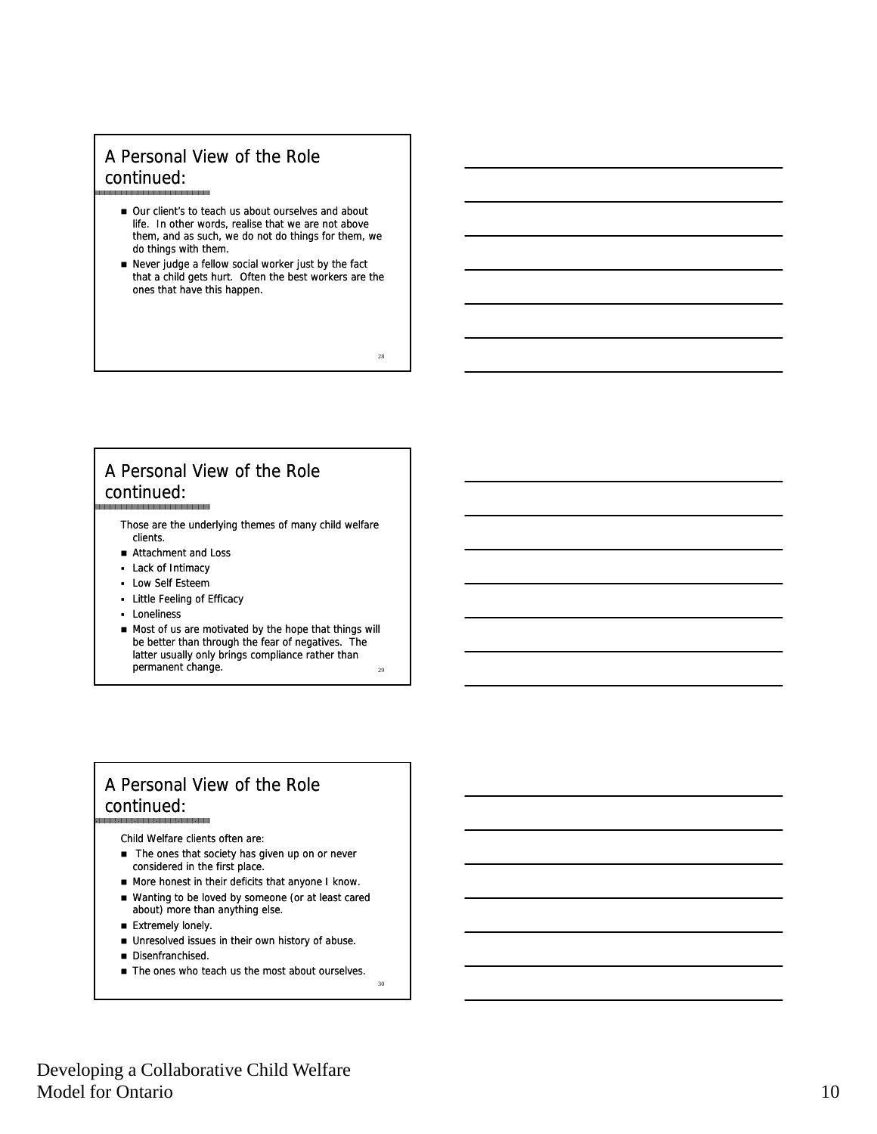#### A Personal View of the Role continued:

- Our client's to teach us about ourselves and about life. In other words, realise that we are not above them, and as such, we do not do things for them, we do things with them.
- Never judge a fellow social worker just by the fact that a child gets hurt. Often the best workers are the ones that have this happen.

28

30

A Personal View of the Role continued:

Those are the underlying themes of many child welfare clients.

- Attachment and Loss
- Lack of Intimacy
- Low Self Esteem
- Little Feeling of Efficacy
- **Loneliness**
- $\blacksquare$  Most of us are motivated by the hope that things will be better than through the fear of negatives. The latter usually only brings compliance rather than permanent change.

#### A Personal View of the Role continued:

Child Welfare clients often are:

- The ones that society has given up on or never considered in the first place.
- More honest in their deficits that anyone I know.
- Wanting to be loved by someone (or at least cared about) more than anything else.
- Extremely lonely.
- Unresolved issues in their own history of abuse.
- Disenfranchised.
- The ones who teach us the most about ourselves.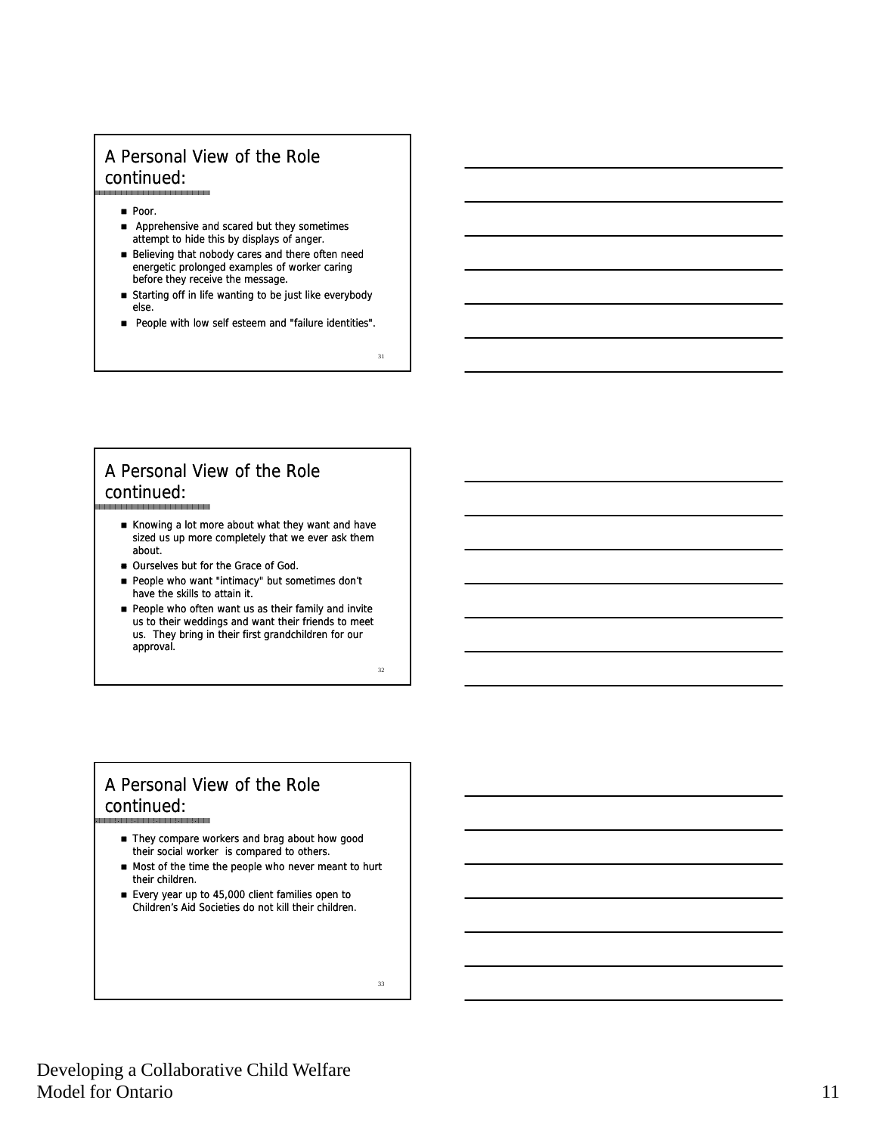#### A Personal View of the Role continued:

- **Poor.**
- **Apprehensive and scared but they sometimes** attempt to hide this by displays of anger.
- **Believing that nobody cares and there often need** energetic prolonged examples of worker caring before they receive the message.
- Starting off in life wanting to be just like everybody else.
- People with low self esteem and "failure identities".

#### A Personal View of the Role continued:

- Knowing a lot more about what they want and have sized us up more completely that we ever ask them about.
- Ourselves but for the Grace of God.
- People who want "intimacy" but sometimes don't have the skills to attain it.
- **People who often want us as their family and invite** us to their weddings and want their friends to meet us. They bring in their first grandchildren for our approval.

32

31

### A Personal View of the Role continued:

- They compare workers and brag about how good their social worker is compared to others.
- Most of the time the people who never meant to hurt their children.
- Every year up to 45,000 client families open to Children's Aid Societies do not kill their children.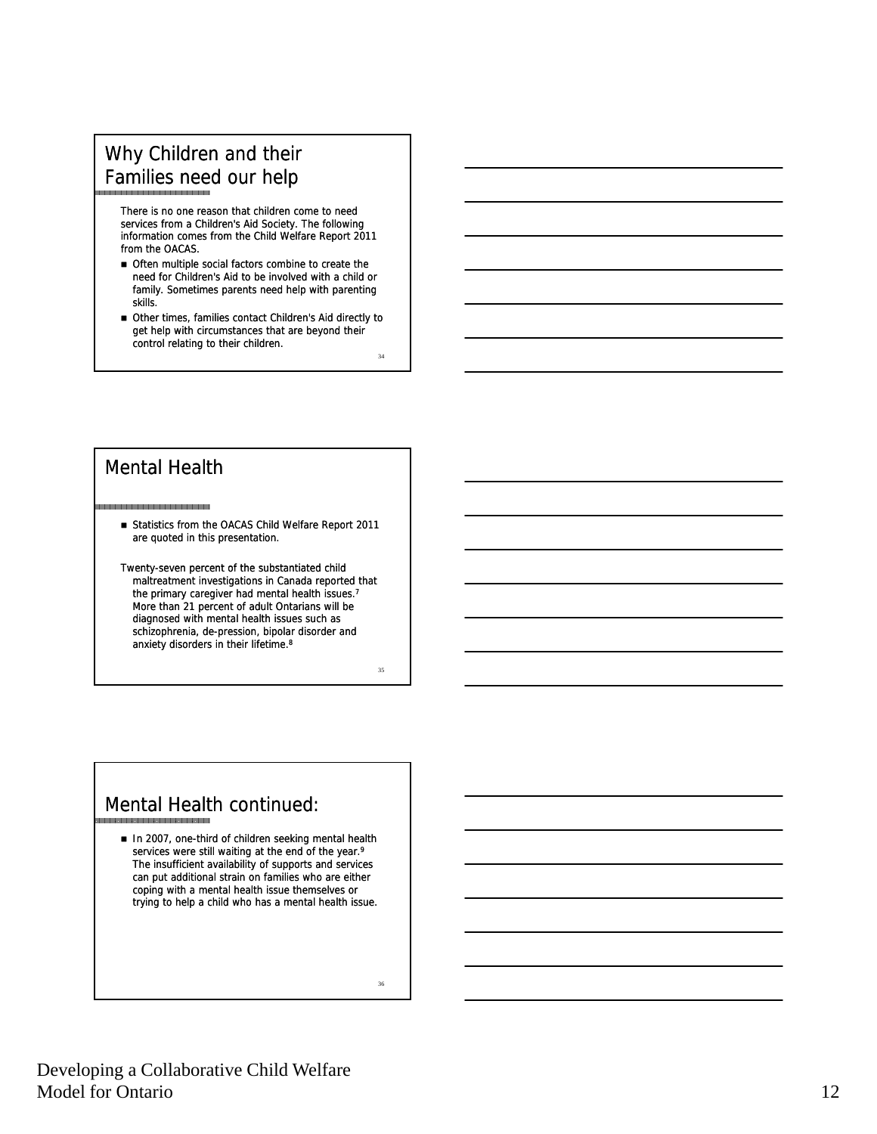### Why Children and their Families need our help

There is no one reason that children come to need services from a Children's Aid Society. The following information comes from the Child Welfare Report 2011 from the OACAS.

- Often multiple social factors combine to create the need for Children's Aid to be involved with a child or family. Sometimes parents need help with parenting skills.
- Other times, families contact Children's Aid directly to get help with circumstances that are beyond their control relating to their children.

#### Mental Health

- Statistics from the OACAS Child Welfare Report 2011 are quoted in this presentation.
- Twenty-seven percent of the substantiated child maltreatment investigations in Canada reported that the primary caregiver had mental health issues.<sup>7</sup> More than 21 percent of adult Ontarians will be diagnosed with mental health issues such as schizophrenia, de-pression, bipolar disorder and anxiety disorders in their lifetime.8

## Mental Health continued:

 $\blacksquare$  In 2007, one-third of children seeking mental health services were still waiting at the end of the year.<sup>9</sup> The insufficient availability of supports and services can put additional strain on families who are either coping with a mental health issue themselves or trying to help a child who has a mental health issue.

36

34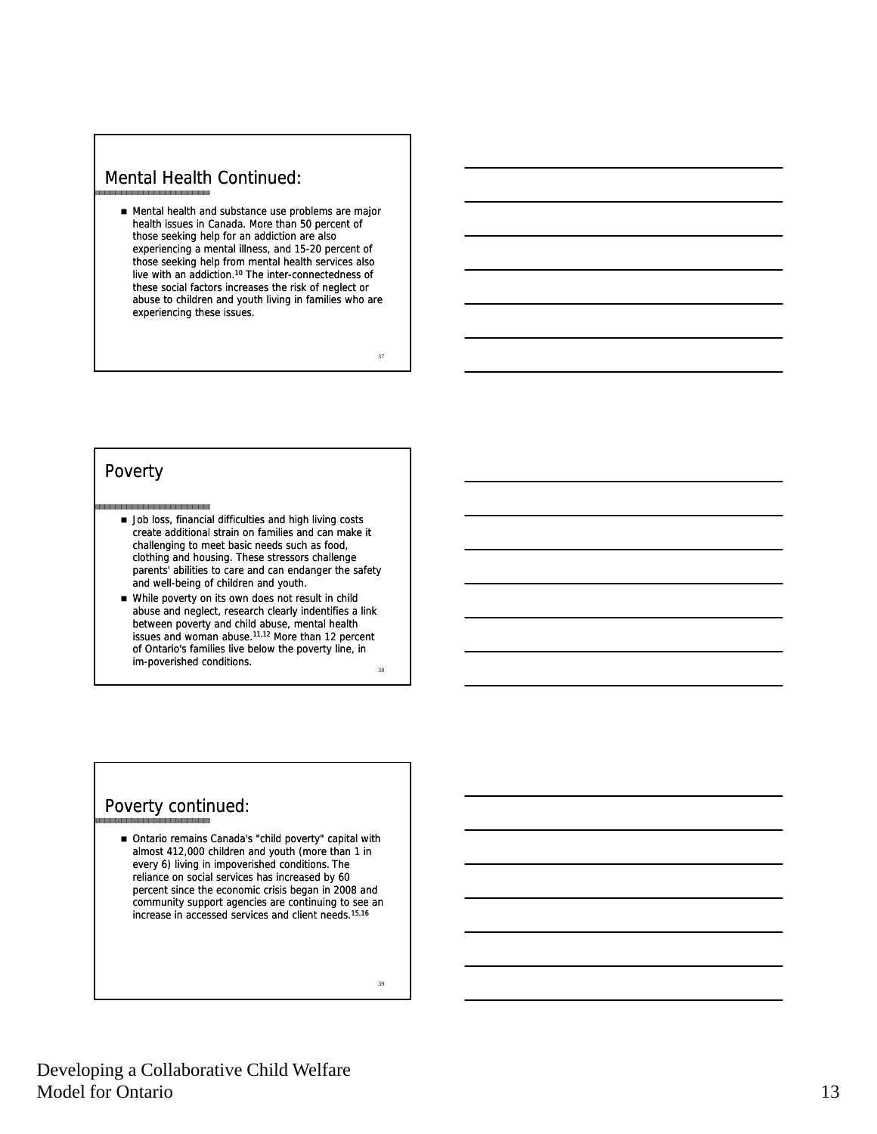#### Mental Health Continued:

 Mental health and substance use problems are major health issues in Canada. More than 50 percent of those seeking help for an addiction are also experiencing a mental illness, and 15-20 percent of those seeking help from mental health services also live with an addiction.<sup>10</sup> The inter-connectedness of these social factors increases the risk of neglect or abuse to children and youth living in families who are experiencing these issues.

Poverty

- **Job loss, financial difficulties and high living costs** create additional strain on families and can make it challenging to meet basic needs such as food, clothing and housing. These stressors challenge parents' abilities to care and can endanger the safety and well-being of children and youth.
- While poverty on its own does not result in child abuse and neglect, research clearly indentifies a link between poverty and child abuse, mental health issues and woman abuse.11,12 More than 12 percent of Ontario's families live below the poverty line, in im-poverished conditions.

## Poverty continued:

 Ontario remains Canada's "child poverty" capital with almost 412,000 children and youth (more than 1 in every 6) living in impoverished conditions. The reliance on social services has increased by 60 percent since the economic crisis began in 2008 and community support agencies are continuing to see an increase in accessed services and client needs.15,16

39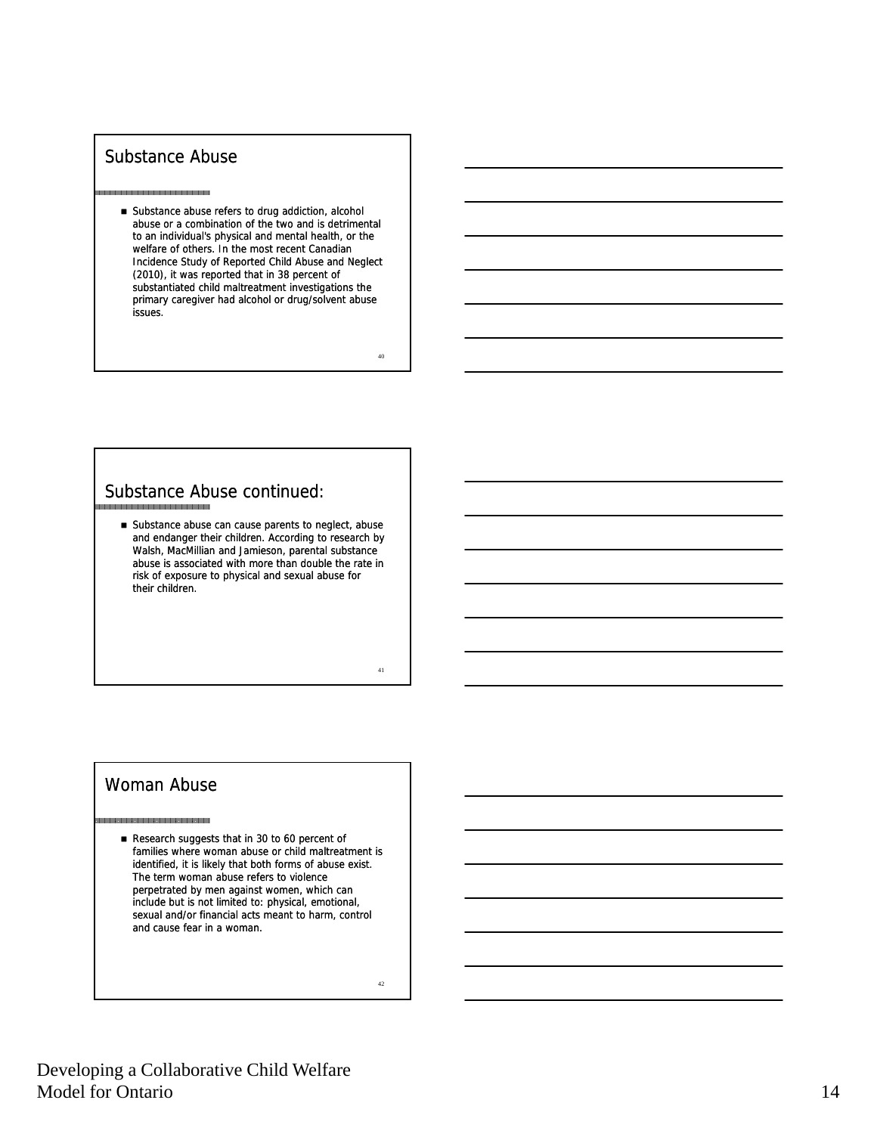#### Substance Abuse

000 000 000 000 000 000 000 000 000 000 000 000 000 000 000

■ Substance abuse refers to drug addiction, alcohol abuse or a combination of the two and is detrimental to an individual's physical and mental health, or the welfare of others. In the most recent Canadian Incidence Study of Reported Child Abuse and Neglect (2010), it was reported that in 38 percent of substantiated child maltreatment investigations the primary caregiver had alcohol or drug/solvent abuse issues.

#### Substance Abuse continued:

■ Substance abuse can cause parents to neglect, abuse and endanger their children. According to research by Walsh, MacMillian and Jamieson, parental substance abuse is associated with more than double the rate in risk of exposure to physical and sexual abuse for their children.

#### Woman Abuse

8888888888888888888888888888

Research suggests that in 30 to 60 percent of families where woman abuse or child maltreatment is identified, it is likely that both forms of abuse exist. The term woman abuse refers to violence perpetrated by men against women, which can include but is not limited to: physical, emotional, sexual and/or financial acts meant to harm, control and cause fear in a woman.

42

40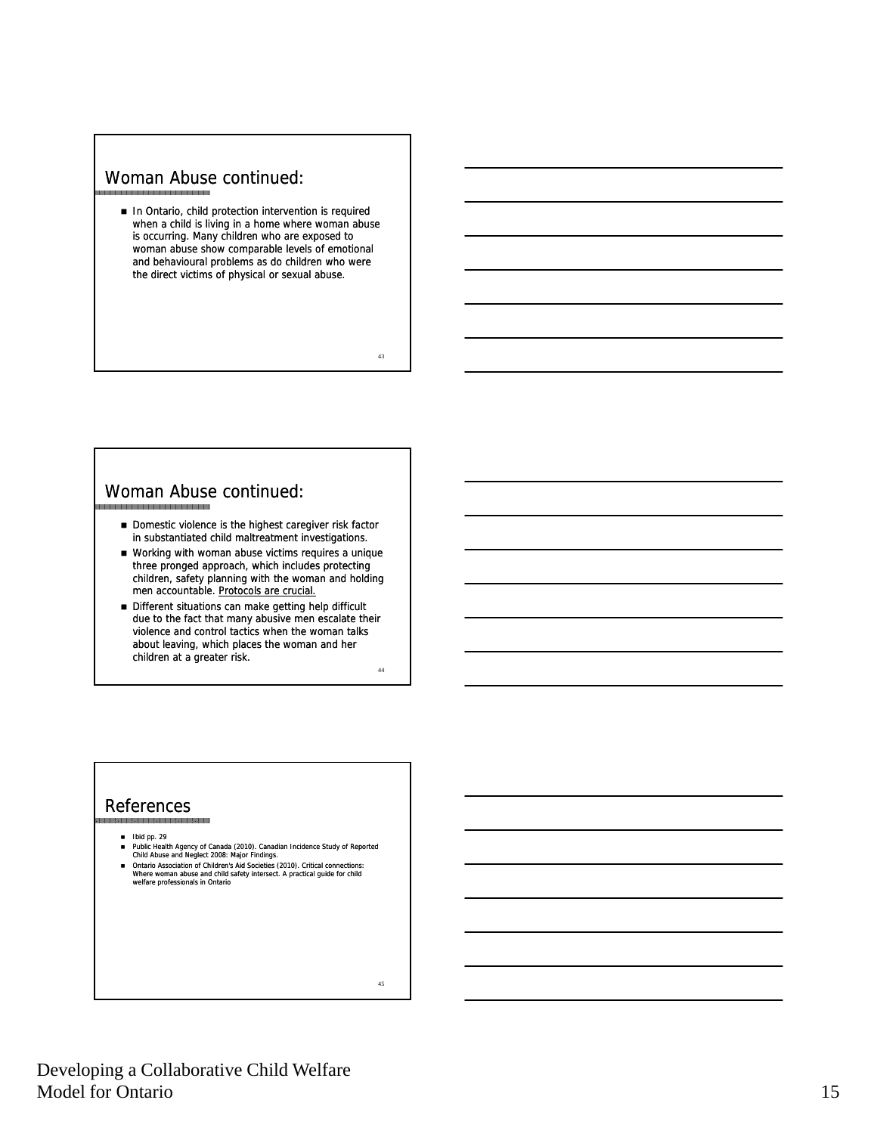#### Woman Abuse continued:

 In Ontario, child protection intervention is required when a child is living in a home where woman abuse is occurring. Many children who are exposed to woman abuse show comparable levels of emotional and behavioural problems as do children who were the direct victims of physical or sexual abuse.

43

#### Woman Abuse continued:

- Domestic violence is the highest caregiver risk factor in substantiated child maltreatment investigations.
- Working with woman abuse victims requires a unique three pronged approach, which includes protecting children, safety planning with the woman and holding men accountable. Protocols are crucial.
- Different situations can make getting help difficult due to the fact that many abusive men escalate their violence and control tactics when the woman talks about leaving, which places the woman and her children at a greater risk. 44

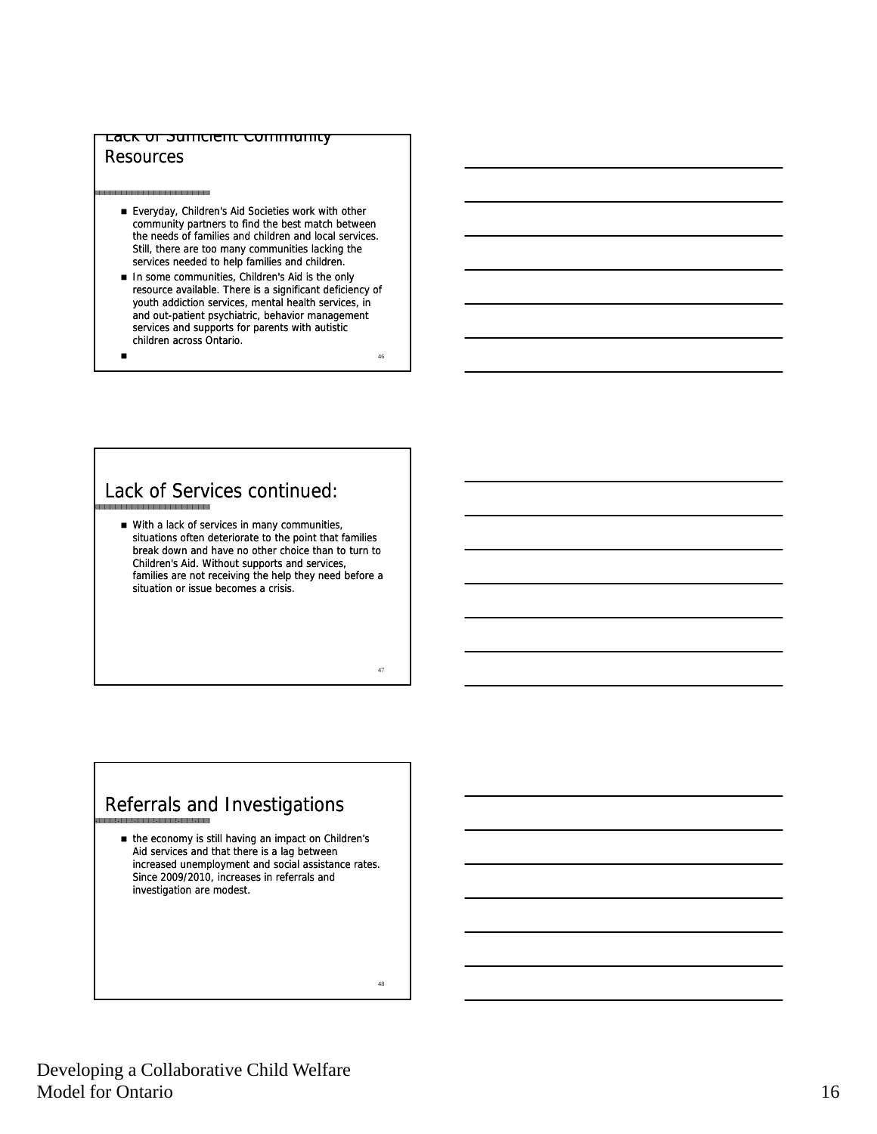#### Lack of Sufficient Community **Resources**

.<br>In this disk case on the pair base and color and since and color color color and disk case and color

- Everyday, Children's Aid Societies work with other community partners to find the best match between the needs of families and children and local services. Still, there are too many communities lacking the services needed to help families and children.
- In some communities, Children's Aid is the only resource available. There is a significant deficiency of youth addiction services, mental health services, in and out-patient psychiatric, behavior management services and supports for parents with autistic children across Ontario.
- 46

#### Lack of Services continued:

With a lack of services in many communities, situations often deteriorate to the point that families break down and have no other choice than to turn to Children's Aid. Without supports and services, families are not receiving the help they need before a situation or issue becomes a crisis.

# Referrals and Investigations

■ the economy is still having an impact on Children's Aid services and that there is a lag between increased unemployment and social assistance rates. Since 2009/2010, increases in referrals and investigation are modest.

48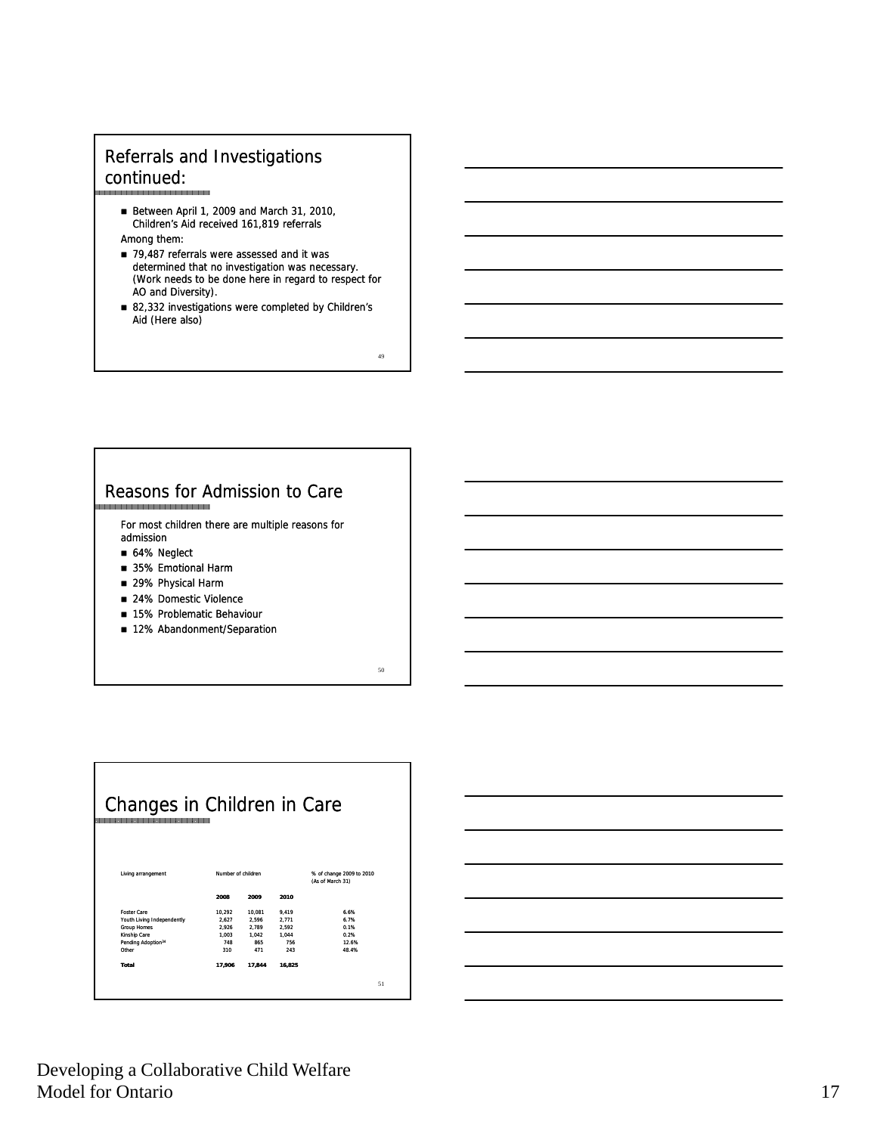### Referrals and Investigations continued:

- Between April 1, 2009 and March 31, 2010, Children's Aid received 161,819 referrals
- Among them:
- 79,487 referrals were assessed and it was determined that no investigation was necessary. (Work needs to be done here in regard to respect for AO and Diversity).
- 82,332 investigations were completed by Children's Aid (Here also)

49

50

#### Reasons for Admission to Care

For most children there are multiple reasons for admission

- 64% Neglect
- 35% Emotional Harm
- 29% Physical Harm
- 24% Domestic Violence
- 15% Problematic Behaviour
- 12% Abandonment/Separation

| Changes in Children in Care             |                                    |        |       |                                              |  |
|-----------------------------------------|------------------------------------|--------|-------|----------------------------------------------|--|
| Living arrangement                      | Number of children<br>2008<br>2009 |        | 2010  | % of change 2009 to 2010<br>(As of March 31) |  |
| <b>Foster Care</b>                      | 10.292                             | 10.081 | 9.419 | 6.6%                                         |  |
| Youth Living Independently              | 2.627                              | 2.596  | 2.771 | 6.7%                                         |  |
| <b>Group Homes</b>                      | 2.926                              | 2.789  | 2.592 | 0.1%                                         |  |
| Kinship Care                            | 1.003                              | 1.042  | 1.044 | 0.2%                                         |  |
|                                         | 748                                | 865    | 756   | 12.6%                                        |  |
|                                         |                                    | 471    | 243   | 48.4%                                        |  |
| Pending Adoption <sup>34</sup><br>Other | 310                                |        |       |                                              |  |

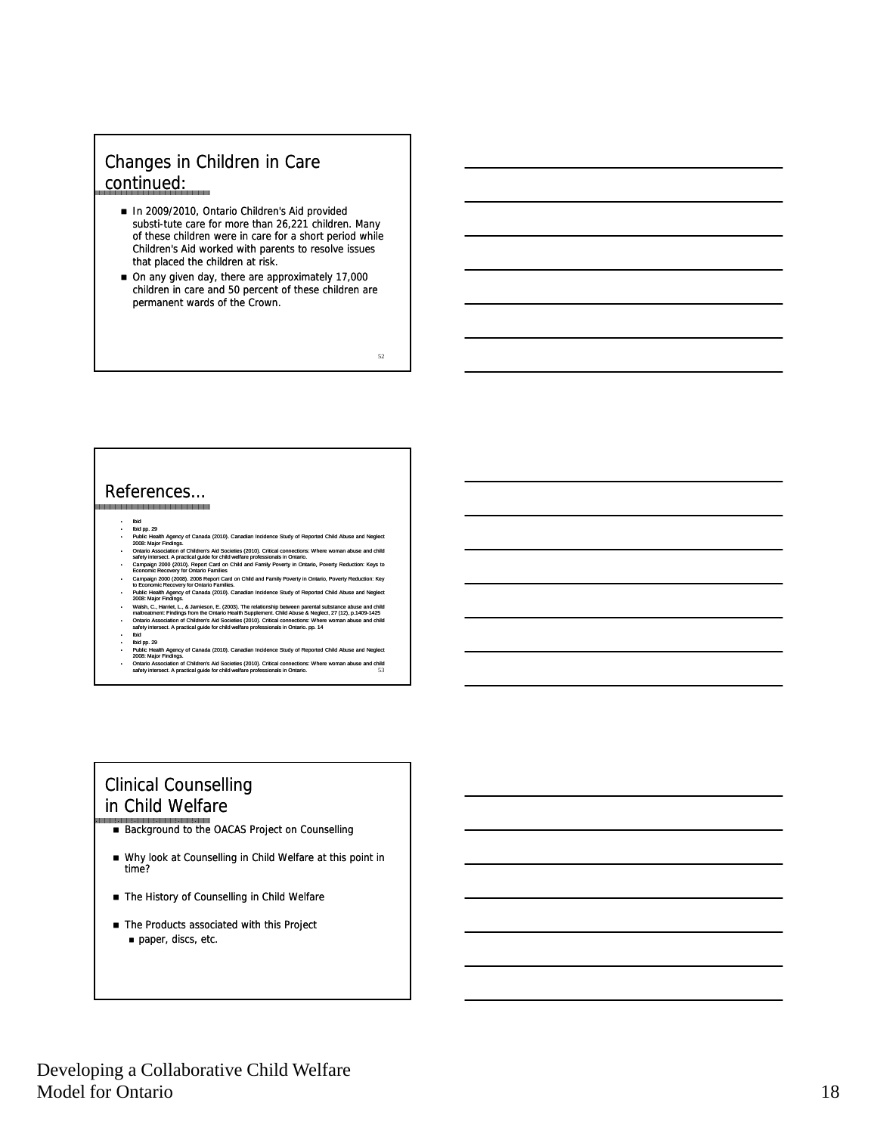#### Changes in Children in Care continued:

- In 2009/2010, Ontario Children's Aid provided substi-tute care for more than 26,221 children. Many of these children were in care for a short period while Children's Aid worked with parents to resolve issues that placed the children at risk.
- On any given day, there are approximately 17,000 children in care and 50 percent of these children are permanent wards of the Crown.

52

#### References…

- bid pp. 29<br>
bid pp. 29<br>
Public Health Agency of Canada (2010), Canadian Incidence Study of Reported Child Abuse and Negled<br>
2008: Major Findings<br>
2008: Major Findings<br>
2008: Major Findings<br>
2008: Major Findings<br>
2008: Majo
- 
- 
- 
- 
- 
- 
- 
- 
- Ibid pp. 29<br>Public Health Agency of Canada (2010). Canadian Incidence Study of Reported Child Abuse and Neglect<br>2008: Major Findings.<br>- Ontario Association of Children's Aid Societies (2010). Critical connections: Where
- 

## Clinical Counselling in Child Welfare

- **Background to the OACAS Project on Counselling**
- Why look at Counselling in Child Welfare at this point in time?
- The History of Counselling in Child Welfare
- The Products associated with this Project paper, discs, etc.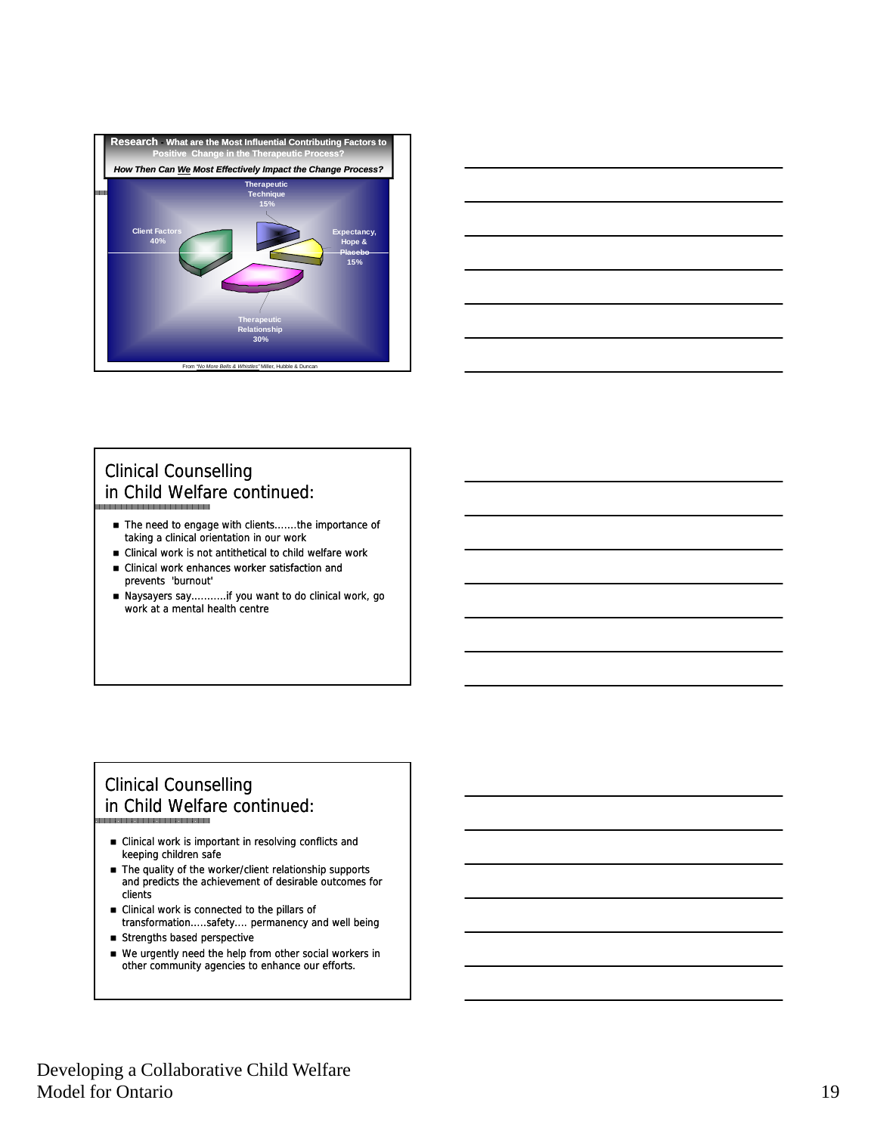



### Clinical Counselling in Child Welfare continued:

- The need to engage with clients.......the importance of taking a clinical orientation in our work
- Clinical work is not antithetical to child welfare work
- $\blacksquare$  Clinical work enhances worker satisfaction and prevents 'burnout'
- Naysayers say...........if you want to do clinical work, go work at a mental health centre

## Clinical Counselling in Child Welfare continued:

- Clinical work is important in resolving conflicts and keeping children safe
- The quality of the worker/client relationship supports and predicts the achievement of desirable outcomes for clients
- Clinical work is connected to the pillars of
- transformation.....safety.... permanency and well being Strengths based perspective
- We urgently need the help from other social workers in other community agencies to enhance our efforts.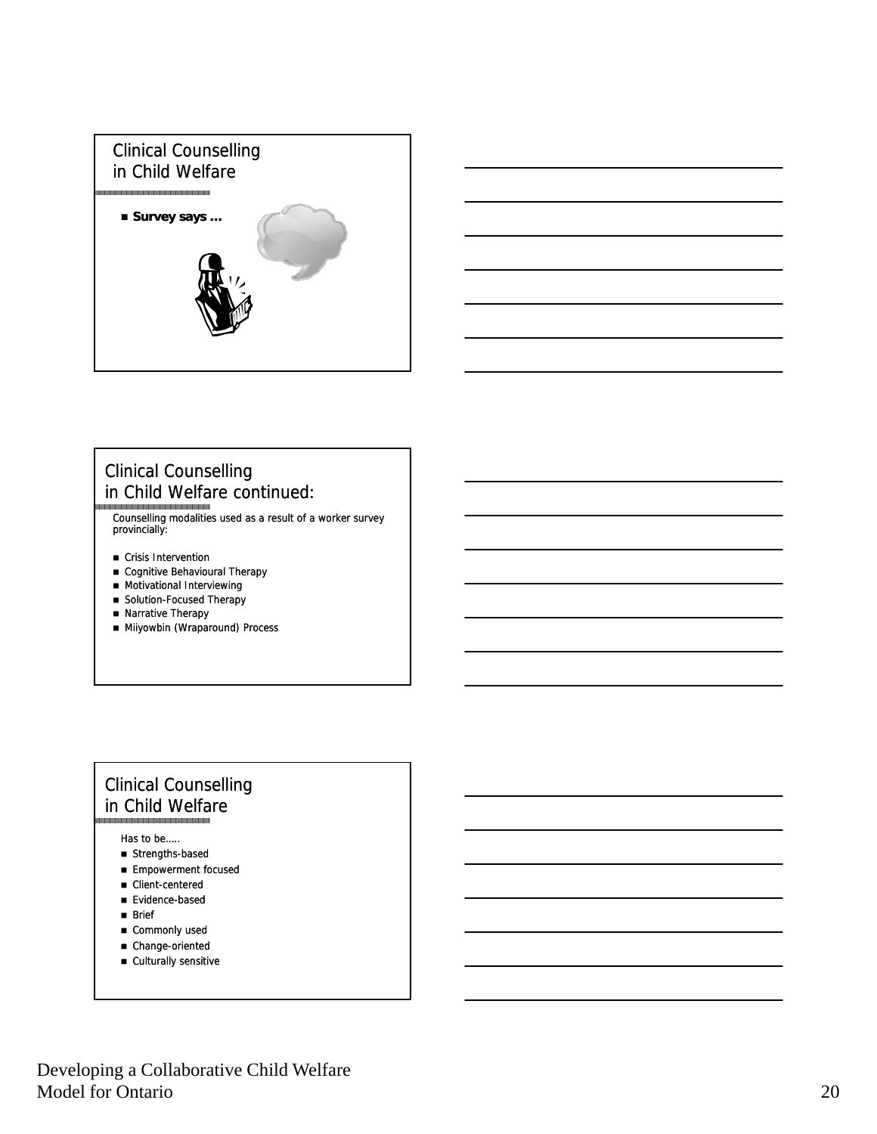



#### Clinical Counselling in Child Welfare continued:

Counselling modalities used as a result of a worker survey provincially:

- **Crisis Intervention**
- Cognitive Behavioural Therapy
- **Motivational Interviewing**
- **B** Solution-Focused Therapy
- **Narrative Therapy**
- **Miiyowbin (Wraparound) Process**

## Clinical Counselling in Child Welfare

Has to be…..

- $\blacksquare$  Strengths-based
- **Empowerment focused**
- $\blacksquare$  Client-centered
- Evidence-based
- **Brief**
- Commonly used
- **n** Change-oriented
- **Culturally sensitive**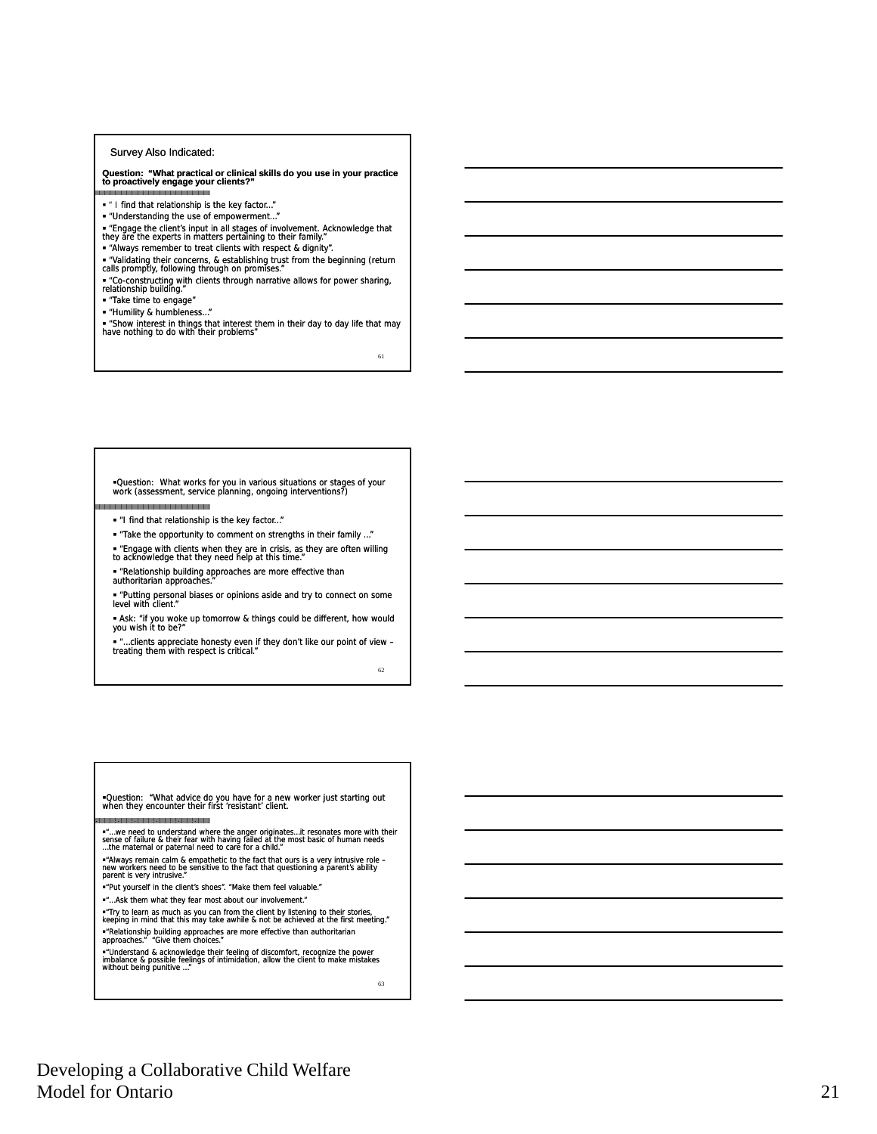#### Survey Also Indicated:

**Question: "What practical or clinical skills do you use in your practice to proactively engage your clients?"**

" I find that relationship is the key factor…"

- "Understanding the use of empowerment…"
- "Engage the client's input in all stages of involvement. Acknowledge that they are the experts in matters pertaining to their family."
- . "Always remember to treat clients with respect & dignity".
- **•** "Validating their concerns, & establishing trust from the beginning (return calls promptly, following through on promises."
- "Co-constructing with clients through narrative allows for power sharing,<br>relationship building."
- "Take time to engage"
- "Humility & humbleness…"
- "Show interest in things that interest them in their day to day life that may have nothing to do with their problems"

61

#### Question: What works for you in various situations or stages of your work (assessment, service planning, ongoing interventions?)

- "I find that relationship is the key factor…"
- "Take the opportunity to comment on strengths in their family …"
- "Engage with clients when they are in crisis, as they are often willing to acknowledge that they need help at this time."
- "Relationship building approaches are more effective than authoritarian approaches."
- "Putting personal biases or opinions aside and try to connect on some level with client."
- Ask: "if you woke up tomorrow & things could be different, how would you wish it to be?"
- "...clients appreciate honesty even if they don't like our point of view –<br>treating them with respect is critical."

62

Question: "What advice do you have for a new worker just starting out when they encounter their first 'resistant' client.

"…we need to understand where the anger originates…it resonates more with their sense of failure & their fear with having failed at the most basic of human needs …the maternal or paternal need to care for a child."

"Always remain calm & empathetic to the fact that ours is a very intrusive role – new workers need to be sensitive to the fact that questioning a parent's ability parent is very intrusive."

- "Put yourself in the client's shoes". "Make them feel valuable."
- "…Ask them what they fear most about our involvement."

"Try to learn as much as you can from the client by listening to their stories, keeping in mind that this may take awhile & not be achieved at the first meeting."

"Relationship building approaches are more effective than authoritarian approaches." "Give them choices."

"Understand & acknowledge their feeling of discomfort, recognize the power imbalance & possible feelings of intimidation, allow the client to make mistakes without being punitive …"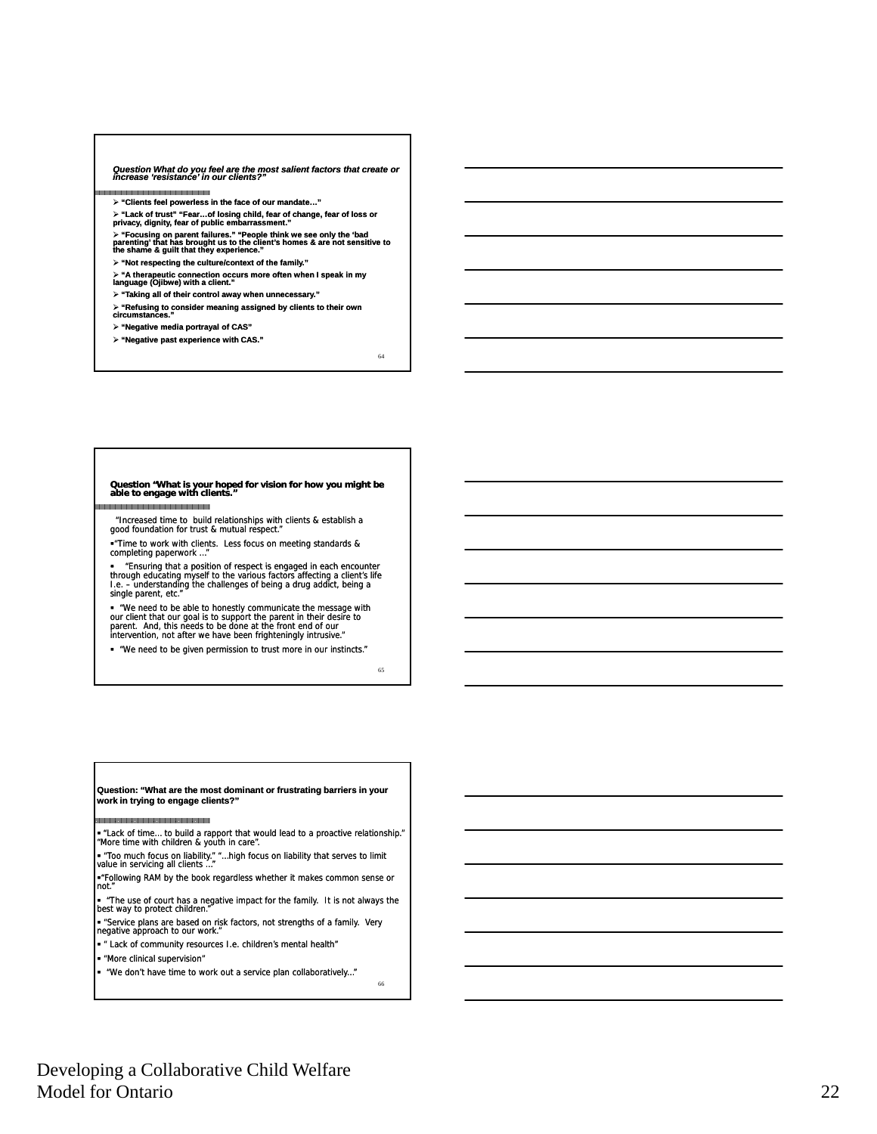*Question What do you feel are the most salient factors that create or increase 'resistance' in our clients?"*

**"Clients feel powerless in the face of our mandate…"** 

**"Lack of trust" "Fear…of losing child, fear of change, fear of loss or privacy, dignity, fear of public embarrassment."** 

➢ "Focusing on parent failures." "People think we see only the 'bad<br>parenting' that has brought us to the client's homes & are not sensitive to<br>the shame & guilt that they experience."

**"Not respecting the culture/context of the family."**

**"A therapeutic connection occurs more often when I speak in my language (Ojibwe) with a client."** 

**"Taking all of their control away when unnecessary."** 

**"Refusing to consider meaning assigned by clients to their own circumstances."** 

**"Negative media portrayal of CAS"** 

**"Negative past experience with CAS."**

**Question "What is your hoped for vision for how you might be able to engage with clients."**

"Increased time to build relationships with clients & establish a good foundation for trust & mutual respect."

"Time to work with clients. Less focus on meeting standards & completing paperwork …"

- "Ensuring that a position of respect is engaged in each encounter<br>through educating myself to the various factors affecting a client's life<br>I.e. – understanding the challenges of being a drug addict, being a<br>single paren

■ "We need to be able to honestly communicate the message with<br>our client that our goal is to support the parent in their desire to<br>parent. And, this needs to be done at the front end of our<br>intervention, not after we hav

"We need to be given permission to trust more in our instincts."

65

66

64

**Question: "What are the most dominant or frustrating barriers in your work in trying to engage clients?"**

#### 

"Lack of time… to build a rapport that would lead to a proactive relationship." "More time with children & youth in care".

■ "Too much focus on liability." "...high focus on liability that serves to limit value in servicing all clients …"

"Following RAM by the book regardless whether it makes common sense or Following RAM by the book regardless whether it makes common sense or not."

" "The use of court has a negative impact for the family. It is not always the best way to protect children.

"Service plans are based on risk factors, not strengths of a family. Very negative approach to our work."

" Lack of community resources I.e. children's mental health"

"More clinical supervision"

"We don't have time to work out a service plan collaboratively…"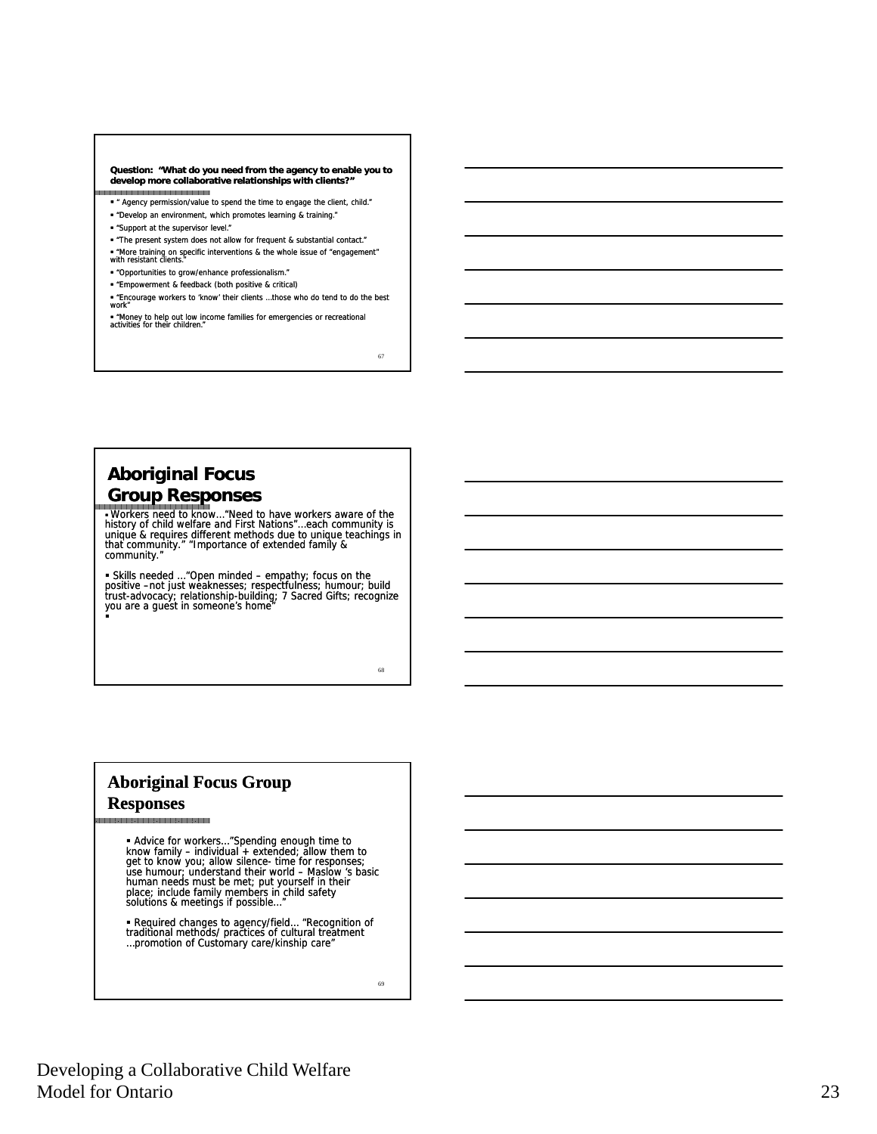**Question: "What do you need from the agency to enable you to develop more collaborative relationships with clients?"**

" Agency permission/value to spend the time to engage the client, child."

- "Develop an environment, which promotes learning & training."
- "Support at the supervisor level."
- "The present system does not allow for frequent & substantial contact."
- " "More training on specific interventions & the whole issue of "engagement"<br>with resistant clients."
- 
- "Opportunities to grow/enhance professionalism."
- "Empowerment & feedback (both positive & critical)
- "Encourage workers to 'know' their clients …those who do tend to do the best work"

"Money to help out low income families for emergencies or recreational activities for their children."

#### **Aboriginal Focus Group Responses**

• Workers need to know..."Need to have workers aware of the<br>history of child welfare and First Nations"...each community is<br>unique & requires different methods due to unique teachings in<br>that community." "Importance of ext community."

■ Skills needed ..."Open minded – empathy; focus on the<br>positive –not just weaknesses; respectfulness; humour; build<br>trust-advocacy; relationship-building; 7 Sacred Gifts; recognize<br>you are a guest in someone's home"<br>■

#### **Aboriginal Focus Group Responses**

■ Advice for workers..."Spending enough time to<br>know family – individual + extended; allow them to<br>get to know you; allow silence- time for responses;<br>use humour; understand their world – Maslow 's basic<br>human needs must

 Required changes to agency/field… "Recognition of traditional methods/ practices of cultural treatment …promotion of Customary care/kinship care"

69

67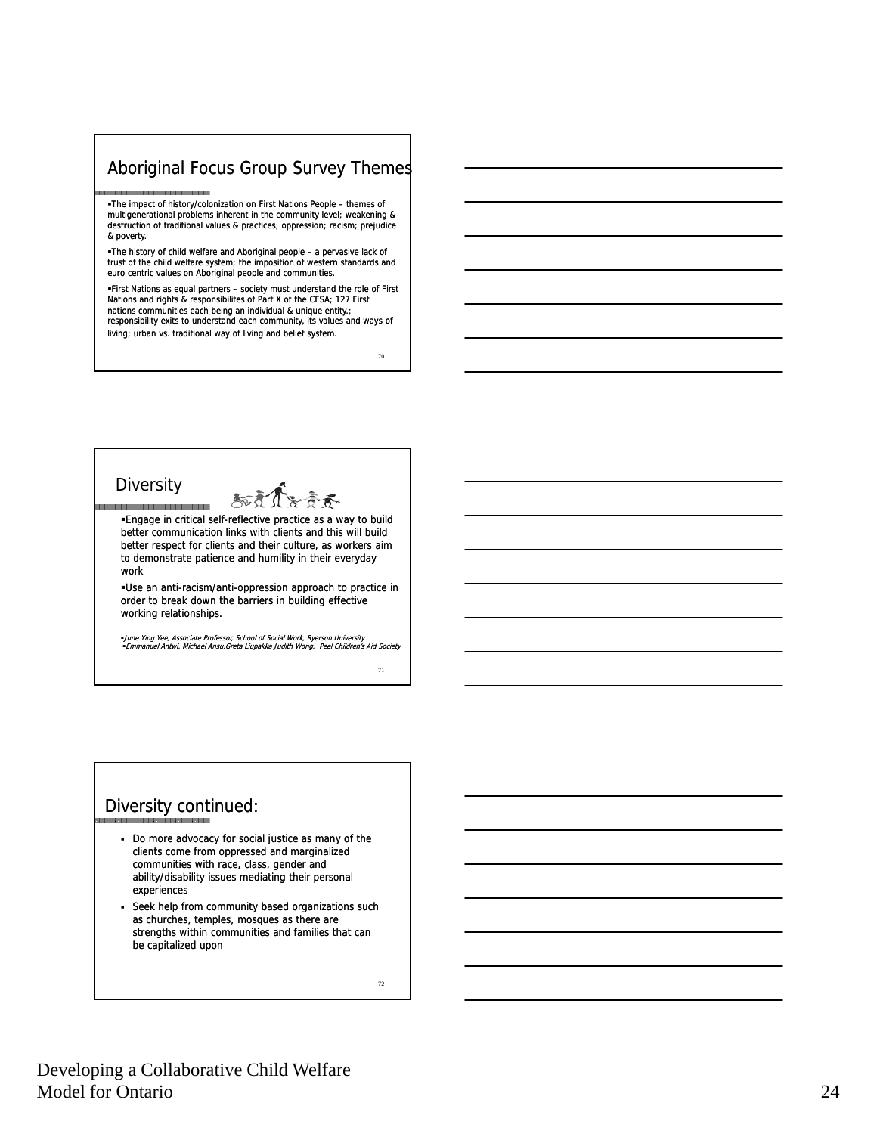#### Aboriginal Focus Group Survey Themes

. The impact of history/colonization on First Nations People – themes of multigenerational problems inherent in the community level; weakening & destruction of traditional values & practices; oppression; racism; prejudice & poverty.

The history of child welfare and Aboriginal people – a pervasive lack of The history of child welfare and Aboriginal a pervasive lack trust of the child welfare system; the imposition of western standards and euro centric values on Aboriginal people and communities.

First Nations as equal partners – society must understand the role of First Nations and rights & responsibilites responsibilites of Part X of the CFSA; 127 First nations communities each being an individual & unique entity.; responsibility exits to understand each community, its values and ways of living; urban vs. traditional way of living and belief system.

**Diversity** 

Engage in critical self-reflective practice as a way to build better communication links with clients and this will build better respect for clients and their culture, as workers aim to demonstrate patience and humility in their everyday work

 $\approx 71$ 

Use an anti-racism/anti-oppression approach to practice in order to break down the barriers in building effective working relationships.

■June Ying Yee, Associate Professor, School of Social Work, Ryerson University<br>■Emmanuel Antwi, Michael Ansu,Greta Liupakka Judith Wong, Peel Children's Aid Society

# Diversity continued:

- Do more advocacy for social justice as many of the clients come from oppressed and marginalized communities with race, class, gender and ability/disability issues mediating their personal experiences
- Seek help from community based organizations such as churches, temples, mosques as there are strengths within communities and families that can be capitalized upon

72

70